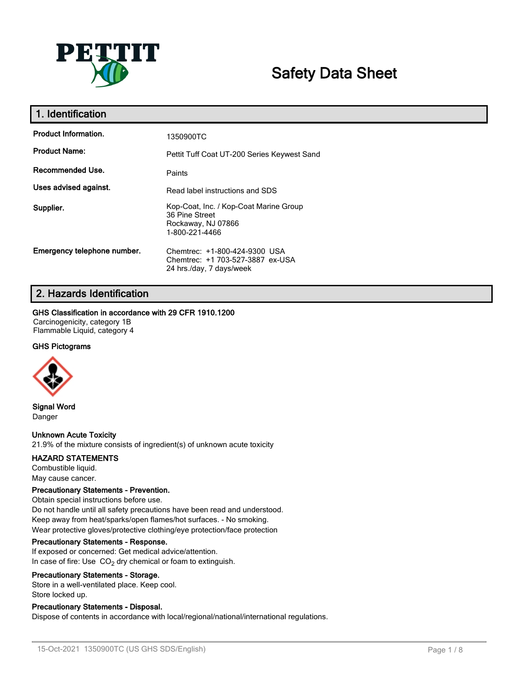

# **Safety Data Sheet**

| 1. Identification           |                                                                                                  |
|-----------------------------|--------------------------------------------------------------------------------------------------|
| <b>Product Information.</b> | 1350900TC                                                                                        |
| <b>Product Name:</b>        | Pettit Tuff Coat UT-200 Series Keywest Sand                                                      |
| Recommended Use.            | Paints                                                                                           |
| Uses advised against.       | Read label instructions and SDS                                                                  |
| Supplier.                   | Kop-Coat, Inc. / Kop-Coat Marine Group<br>36 Pine Street<br>Rockaway, NJ 07866<br>1-800-221-4466 |
| Emergency telephone number. | Chemtrec: +1-800-424-9300 USA<br>Chemtrec: +1 703-527-3887 ex-USA<br>24 hrs./day, 7 days/week    |

## **2. Hazards Identification**

### **GHS Classification in accordance with 29 CFR 1910.1200**

Carcinogenicity, category 1B Flammable Liquid, category 4

### **GHS Pictograms**



**Signal Word** Danger

### **Unknown Acute Toxicity**

21.9% of the mixture consists of ingredient(s) of unknown acute toxicity

#### **HAZARD STATEMENTS**

Combustible liquid. May cause cancer.

#### **Precautionary Statements - Prevention.**

Obtain special instructions before use. Do not handle until all safety precautions have been read and understood. Keep away from heat/sparks/open flames/hot surfaces. - No smoking. Wear protective gloves/protective clothing/eye protection/face protection

#### **Precautionary Statements - Response.**

If exposed or concerned: Get medical advice/attention. In case of fire: Use  $CO<sub>2</sub>$  dry chemical or foam to extinguish.

#### **Precautionary Statements - Storage.**

Store in a well-ventilated place. Keep cool. Store locked up.

### **Precautionary Statements - Disposal.**

Dispose of contents in accordance with local/regional/national/international regulations.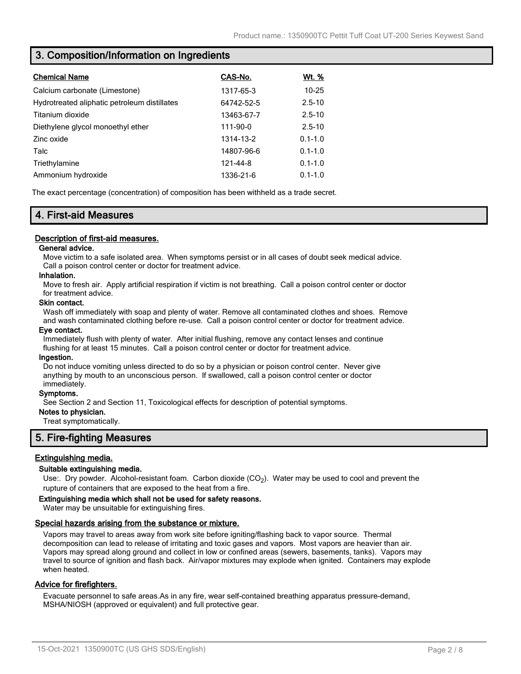## **3. Composition/Information on Ingredients**

| <b>Chemical Name</b>                         | CAS-No.    | Wt. %       |
|----------------------------------------------|------------|-------------|
| Calcium carbonate (Limestone)                | 1317-65-3  | $10 - 25$   |
| Hydrotreated aliphatic petroleum distillates | 64742-52-5 | $2.5 - 10$  |
| Titanium dioxide                             | 13463-67-7 | $2.5 - 10$  |
| Diethylene glycol monoethyl ether            | 111-90-0   | $2.5 - 10$  |
| Zinc oxide                                   | 1314-13-2  | $0.1 - 1.0$ |
| Talc                                         | 14807-96-6 | $0.1 - 1.0$ |
| Triethylamine                                | 121-44-8   | $0.1 - 1.0$ |
| Ammonium hydroxide                           | 1336-21-6  | $0.1 - 1.0$ |

The exact percentage (concentration) of composition has been withheld as a trade secret.

## **4. First-aid Measures**

#### **Description of first-aid measures.**

#### **General advice.**

Move victim to a safe isolated area. When symptoms persist or in all cases of doubt seek medical advice. Call a poison control center or doctor for treatment advice.

#### **Inhalation.**

Move to fresh air. Apply artificial respiration if victim is not breathing. Call a poison control center or doctor for treatment advice.

#### **Skin contact.**

Wash off immediately with soap and plenty of water. Remove all contaminated clothes and shoes. Remove and wash contaminated clothing before re-use. Call a poison control center or doctor for treatment advice.

#### **Eye contact.**

Immediately flush with plenty of water. After initial flushing, remove any contact lenses and continue flushing for at least 15 minutes. Call a poison control center or doctor for treatment advice.

#### **Ingestion.**

Do not induce vomiting unless directed to do so by a physician or poison control center. Never give anything by mouth to an unconscious person. If swallowed, call a poison control center or doctor immediately.

#### **Symptoms.**

See Section 2 and Section 11, Toxicological effects for description of potential symptoms.

### **Notes to physician.**

Treat symptomatically.

## **5. Fire-fighting Measures**

#### **Extinguishing media.**

#### **Suitable extinguishing media.**

Use:. Dry powder. Alcohol-resistant foam. Carbon dioxide (CO<sub>2</sub>). Water may be used to cool and prevent the rupture of containers that are exposed to the heat from a fire.

#### **Extinguishing media which shall not be used for safety reasons.**

Water may be unsuitable for extinguishing fires.

#### **Special hazards arising from the substance or mixture.**

Vapors may travel to areas away from work site before igniting/flashing back to vapor source. Thermal decomposition can lead to release of irritating and toxic gases and vapors. Most vapors are heavier than air. Vapors may spread along ground and collect in low or confined areas (sewers, basements, tanks). Vapors may travel to source of ignition and flash back. Air/vapor mixtures may explode when ignited. Containers may explode when heated.

#### **Advice for firefighters.**

Evacuate personnel to safe areas.As in any fire, wear self-contained breathing apparatus pressure-demand, MSHA/NIOSH (approved or equivalent) and full protective gear.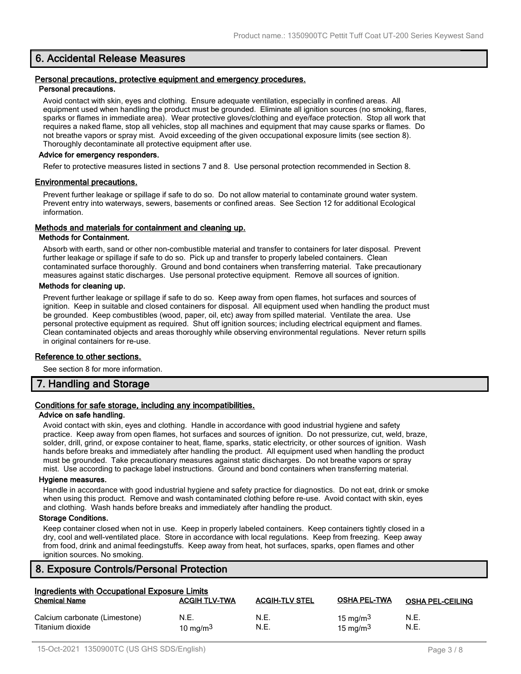## **6. Accidental Release Measures**

#### **Personal precautions, protective equipment and emergency procedures. Personal precautions.**

Avoid contact with skin, eyes and clothing. Ensure adequate ventilation, especially in confined areas. All equipment used when handling the product must be grounded. Eliminate all ignition sources (no smoking, flares, sparks or flames in immediate area). Wear protective gloves/clothing and eye/face protection. Stop all work that requires a naked flame, stop all vehicles, stop all machines and equipment that may cause sparks or flames. Do not breathe vapors or spray mist. Avoid exceeding of the given occupational exposure limits (see section 8). Thoroughly decontaminate all protective equipment after use.

#### **Advice for emergency responders.**

Refer to protective measures listed in sections 7 and 8. Use personal protection recommended in Section 8.

#### **Environmental precautions.**

Prevent further leakage or spillage if safe to do so. Do not allow material to contaminate ground water system. Prevent entry into waterways, sewers, basements or confined areas. See Section 12 for additional Ecological information.

#### **Methods and materials for containment and cleaning up.**

#### **Methods for Containment.**

Absorb with earth, sand or other non-combustible material and transfer to containers for later disposal. Prevent further leakage or spillage if safe to do so. Pick up and transfer to properly labeled containers. Clean contaminated surface thoroughly. Ground and bond containers when transferring material. Take precautionary measures against static discharges. Use personal protective equipment. Remove all sources of ignition.

#### **Methods for cleaning up.**

Prevent further leakage or spillage if safe to do so. Keep away from open flames, hot surfaces and sources of ignition. Keep in suitable and closed containers for disposal. All equipment used when handling the product must be grounded. Keep combustibles (wood, paper, oil, etc) away from spilled material. Ventilate the area. Use personal protective equipment as required. Shut off ignition sources; including electrical equipment and flames. Clean contaminated objects and areas thoroughly while observing environmental regulations. Never return spills in original containers for re-use.

#### **Reference to other sections.**

See section 8 for more information.

## **7. Handling and Storage**

## **Conditions for safe storage, including any incompatibilities.**

#### **Advice on safe handling.**

Avoid contact with skin, eyes and clothing. Handle in accordance with good industrial hygiene and safety practice. Keep away from open flames, hot surfaces and sources of ignition. Do not pressurize, cut, weld, braze, solder, drill, grind, or expose container to heat, flame, sparks, static electricity, or other sources of ignition. Wash hands before breaks and immediately after handling the product. All equipment used when handling the product must be grounded. Take precautionary measures against static discharges. Do not breathe vapors or spray mist. Use according to package label instructions. Ground and bond containers when transferring material.

#### **Hygiene measures.**

Handle in accordance with good industrial hygiene and safety practice for diagnostics. Do not eat, drink or smoke when using this product. Remove and wash contaminated clothing before re-use. Avoid contact with skin, eyes and clothing. Wash hands before breaks and immediately after handling the product.

#### **Storage Conditions.**

Keep container closed when not in use. Keep in properly labeled containers. Keep containers tightly closed in a dry, cool and well-ventilated place. Store in accordance with local regulations. Keep from freezing. Keep away from food, drink and animal feedingstuffs. Keep away from heat, hot surfaces, sparks, open flames and other ignition sources. No smoking.

## **8. Exposure Controls/Personal Protection**

| Ingredients with Occupational Exposure Limits     |                      |                       |                            |                         |
|---------------------------------------------------|----------------------|-----------------------|----------------------------|-------------------------|
| <b>Chemical Name</b>                              | <b>ACGIH TLV-TWA</b> | <b>ACGIH-TLV STEL</b> | <b>OSHA PEL-TWA</b>        | <b>OSHA PEL-CEILING</b> |
| Calcium carbonate (Limestone)<br>Titanium dioxide | N.E.<br>10 mg/m $3$  | N.E.<br>N.E.          | 15 mg/m $3$<br>15 mg/m $3$ | N.E.<br>N.E.            |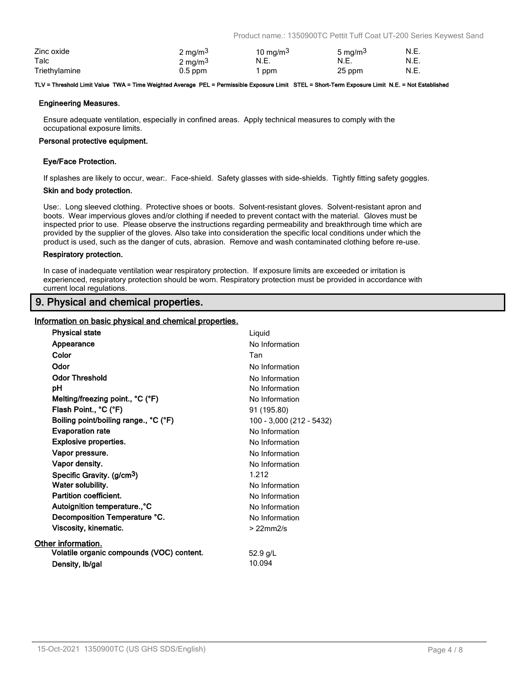Product name.: 1350900TC Pettit Tuff Coat UT-200 Series Keywest Sand

| Zinc oxide    | 2 mg/m <sup>3</sup> | 10 mg/m $3$ | 5 mg/m <sup>3</sup> | N.E. |
|---------------|---------------------|-------------|---------------------|------|
| Talc          | 2 mg/m <sup>3</sup> | N.E.        | N.E.                | N.E. |
| Triethylamine | $0.5$ ppm           | ppm         | 25 ppm              | N.E. |

#### **TLV = Threshold Limit Value TWA = Time Weighted Average PEL = Permissible Exposure Limit STEL = Short-Term Exposure Limit N.E. = Not Established**

#### **Engineering Measures.**

Ensure adequate ventilation, especially in confined areas. Apply technical measures to comply with the occupational exposure limits.

#### **Personal protective equipment.**

#### **Eye/Face Protection.**

If splashes are likely to occur, wear:. Face-shield. Safety glasses with side-shields. Tightly fitting safety goggles.

#### **Skin and body protection.**

Use:. Long sleeved clothing. Protective shoes or boots. Solvent-resistant gloves. Solvent-resistant apron and boots. Wear impervious gloves and/or clothing if needed to prevent contact with the material. Gloves must be inspected prior to use. Please observe the instructions regarding permeability and breakthrough time which are provided by the supplier of the gloves. Also take into consideration the specific local conditions under which the product is used, such as the danger of cuts, abrasion. Remove and wash contaminated clothing before re-use.

#### **Respiratory protection.**

In case of inadequate ventilation wear respiratory protection. If exposure limits are exceeded or irritation is experienced, respiratory protection should be worn. Respiratory protection must be provided in accordance with current local regulations.

## **9. Physical and chemical properties.**

#### **Information on basic physical and chemical properties.**

| <b>Physical state</b>                     | Liquid                   |
|-------------------------------------------|--------------------------|
| Appearance                                | No Information           |
| Color                                     | Tan                      |
| Odor                                      | No Information           |
| <b>Odor Threshold</b>                     | No Information           |
| рH                                        | No Information           |
| Melting/freezing point., °C (°F)          | No Information           |
| Flash Point., °C (°F)                     | 91 (195.80)              |
| Boiling point/boiling range., °C (°F)     | 100 - 3,000 (212 - 5432) |
| <b>Evaporation rate</b>                   | No Information           |
| <b>Explosive properties.</b>              | No Information           |
| Vapor pressure.                           | No Information           |
| Vapor density.                            | No Information           |
| Specific Gravity. (g/cm <sup>3</sup> )    | 1.212                    |
| Water solubility.                         | No Information           |
| Partition coefficient.                    | No Information           |
| Autoignition temperature., °C             | No Information           |
| Decomposition Temperature °C.             | No Information           |
| Viscosity, kinematic.                     | $>22$ mm $2/s$           |
| Other information.                        |                          |
| Volatile organic compounds (VOC) content. | 52.9 g/L                 |
| Density, Ib/gal                           | 10.094                   |
|                                           |                          |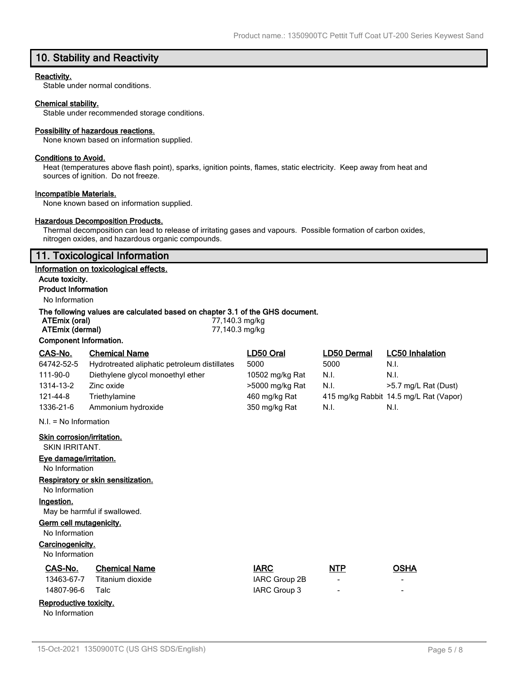## **10. Stability and Reactivity**

#### **Reactivity.**

Stable under normal conditions.

#### **Chemical stability.**

Stable under recommended storage conditions.

#### **Possibility of hazardous reactions.**

None known based on information supplied.

#### **Conditions to Avoid.**

Heat (temperatures above flash point), sparks, ignition points, flames, static electricity. Keep away from heat and sources of ignition. Do not freeze.

#### **Incompatible Materials.**

None known based on information supplied.

### **Hazardous Decomposition Products.**

Thermal decomposition can lead to release of irritating gases and vapours. Possible formation of carbon oxides, nitrogen oxides, and hazardous organic compounds.

## **11. Toxicological Information**

#### **Information on toxicological effects.**

**Acute toxicity. Product Information**

## No Information

#### **The following values are calculated based on chapter 3.1 of the GHS document.**

| ATEmix (oral)          |                      | 77,140.3 mg/kg |             |                        |
|------------------------|----------------------|----------------|-------------|------------------------|
| ATEmix (dermal)        |                      | 77,140.3 mg/kg |             |                        |
| Component Information. |                      |                |             |                        |
| CAS-No.                | <b>Chemical Name</b> | LD50 Oral      | LD50 Dermal | <b>LC50</b> Inhalation |

| UAJ-INU.                | Gilenncal Nanie                              | LUJU UI di      | LDJU DENIMI | <b>LUJU INIMATE</b>                    |
|-------------------------|----------------------------------------------|-----------------|-------------|----------------------------------------|
| 64742-52-5              | Hydrotreated aliphatic petroleum distillates | 5000            | 5000        | N.I.                                   |
| 111-90-0                | Diethylene glycol monoethyl ether            | 10502 mg/kg Rat | N.I.        | N.I.                                   |
| 1314-13-2               | Zinc oxide                                   | >5000 mg/kg Rat | N.I.        | >5.7 mg/L Rat (Dust)                   |
| 121-44-8                | Triethylamine                                | 460 mg/kg Rat   |             | 415 mg/kg Rabbit 14.5 mg/L Rat (Vapor) |
| 1336-21-6               | Ammonium hydroxide                           | 350 mg/kg Rat   | N.I.        | N.I.                                   |
| $N.I. = No$ Information |                                              |                 |             |                                        |

#### **Skin corrosion/irritation.**

SKIN IRRITANT.

#### **Eye damage/irritation.**

No Information

## **Respiratory or skin sensitization.**

No Information

## **Ingestion.**

May be harmful if swallowed.

### **Germ cell mutagenicity.**

No Information

### **Carcinogenicity.**

No Information

| CAS-No. | <b>Chemical Name</b>        | <b>IARC</b>   | <b>NTP</b> | OSHA |
|---------|-----------------------------|---------------|------------|------|
|         | 13463-67-7 Titanium dioxide | IARC Group 2B |            |      |

# 14807-96-6 Talc IARC Group 3

## **Reproductive toxicity.**

No Information

| 15-Oct-2021 1350900TC (US GHS SDS/English) | Page 5/8 |
|--------------------------------------------|----------|

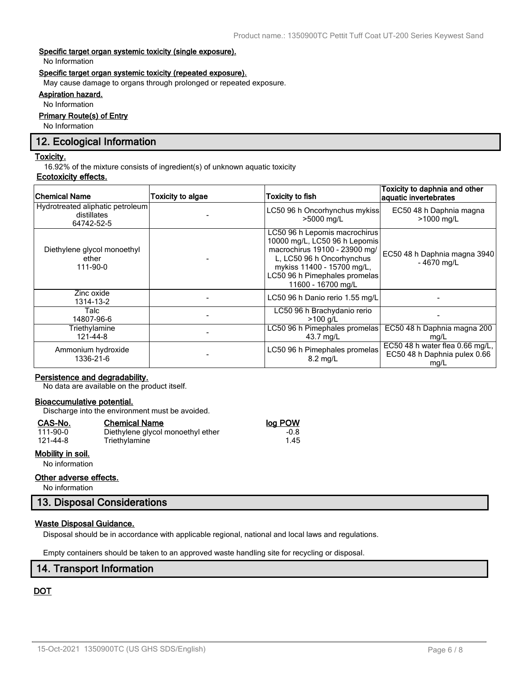#### **Specific target organ systemic toxicity (single exposure).**

No Information

#### **Specific target organ systemic toxicity (repeated exposure).**

May cause damage to organs through prolonged or repeated exposure.

## **Aspiration hazard.**

No Information

## **Primary Route(s) of Entry**

No Information

## **12. Ecological Information**

#### **Toxicity.**

16.92% of the mixture consists of ingredient(s) of unknown aquatic toxicity

### **Ecotoxicity effects.**

| <b>Chemical Name</b>                                          | Toxicity to algae | <b>Toxicity to fish</b>                                                                                                                                                                                           | Toxicity to daphnia and other<br>aquatic invertebrates                  |
|---------------------------------------------------------------|-------------------|-------------------------------------------------------------------------------------------------------------------------------------------------------------------------------------------------------------------|-------------------------------------------------------------------------|
| Hydrotreated aliphatic petroleum<br>distillates<br>64742-52-5 |                   | LC50 96 h Oncorhynchus mykiss<br>>5000 mg/L                                                                                                                                                                       | EC50 48 h Daphnia magna<br>>1000 mg/L                                   |
| Diethylene glycol monoethyl<br>ether<br>111-90-0              |                   | LC50 96 h Lepomis macrochirus<br>10000 mg/L, LC50 96 h Lepomis<br>macrochirus 19100 - 23900 mg/<br>L, LC50 96 h Oncorhynchus<br>mykiss 11400 - 15700 mg/L,<br>LC50 96 h Pimephales promelas<br>11600 - 16700 mg/L | EC50 48 h Daphnia magna 3940<br>$-4670$ mg/L                            |
| Zinc oxide<br>1314-13-2                                       |                   | LC50 96 h Danio rerio 1.55 mg/L                                                                                                                                                                                   |                                                                         |
| Talc<br>14807-96-6                                            |                   | LC50 96 h Brachydanio rerio<br>$>100$ a/L                                                                                                                                                                         |                                                                         |
| Triethylamine<br>121-44-8                                     |                   | LC50 96 h Pimephales promelas<br>43.7 mg/L                                                                                                                                                                        | EC50 48 h Daphnia magna 200<br>mg/L                                     |
| Ammonium hydroxide<br>1336-21-6                               |                   | LC50 96 h Pimephales promelas<br>$8.2 \text{ ma/L}$                                                                                                                                                               | EC50 48 h water flea 0.66 mg/L,<br>EC50 48 h Daphnia pulex 0.66<br>mg/L |

#### **Persistence and degradability.**

No data are available on the product itself.

#### **Bioaccumulative potential.**

Discharge into the environment must be avoided.

Triethylamine

### **CAS-No. Chemical Name log POW**

| 111-90-0 |
|----------|
| 121-44-8 |

### **Mobility in soil.**

No information

#### **Other adverse effects.**

No information

## **13. Disposal Considerations**

### **Waste Disposal Guidance.**

Disposal should be in accordance with applicable regional, national and local laws and regulations.

Empty containers should be taken to an approved waste handling site for recycling or disposal.

## **14. Transport Information**

## **DOT**

1.00 Diethylene glycol monoethyl ether -0.8<br>1.45 Triethylamine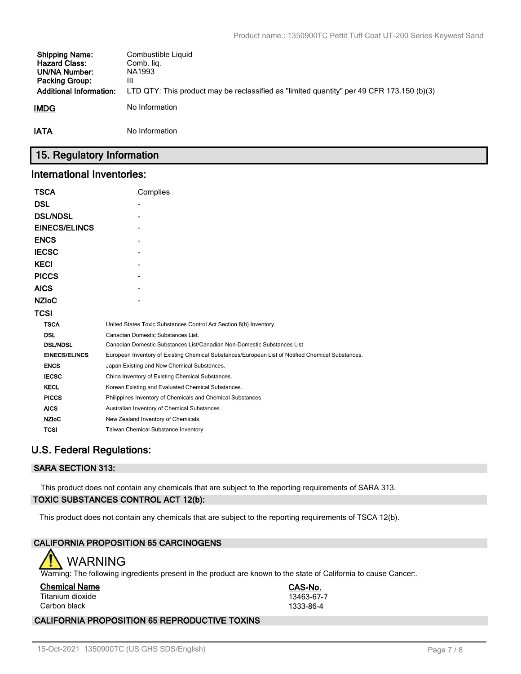| <b>Shipping Name:</b><br><b>Hazard Class:</b><br><b>UN/NA Number:</b><br><b>Packing Group:</b><br><b>Additional Information:</b> | Combustible Liquid<br>Comb. lig.<br>NA1993<br>Ш<br>LTD QTY: This product may be reclassified as "limited quantity" per 49 CFR 173.150 (b)(3) |
|----------------------------------------------------------------------------------------------------------------------------------|----------------------------------------------------------------------------------------------------------------------------------------------|
| <b>IMDG</b>                                                                                                                      | No Information                                                                                                                               |
| <b>IATA</b>                                                                                                                      | No Information                                                                                                                               |

## **15. Regulatory Information**

## **International Inventories:**

| <b>TSCA</b>          | Complies                                                                                          |  |  |  |  |
|----------------------|---------------------------------------------------------------------------------------------------|--|--|--|--|
| <b>DSL</b>           |                                                                                                   |  |  |  |  |
| <b>DSL/NDSL</b>      |                                                                                                   |  |  |  |  |
| <b>EINECS/ELINCS</b> |                                                                                                   |  |  |  |  |
| <b>ENCS</b>          |                                                                                                   |  |  |  |  |
| <b>IECSC</b>         |                                                                                                   |  |  |  |  |
| <b>KECI</b>          |                                                                                                   |  |  |  |  |
| <b>PICCS</b>         |                                                                                                   |  |  |  |  |
| <b>AICS</b>          |                                                                                                   |  |  |  |  |
| <b>NZIoC</b>         |                                                                                                   |  |  |  |  |
| TCSI                 |                                                                                                   |  |  |  |  |
| <b>TSCA</b>          | United States Toxic Substances Control Act Section 8(b) Inventory.                                |  |  |  |  |
| <b>DSL</b>           | Canadian Domestic Substances List.                                                                |  |  |  |  |
| <b>DSL/NDSL</b>      | Canadian Domestic Substances List/Canadian Non-Domestic Substances List                           |  |  |  |  |
| <b>EINECS/ELINCS</b> | European Inventory of Existing Chemical Substances/European List of Notified Chemical Substances. |  |  |  |  |
| <b>ENCS</b>          | Japan Existing and New Chemical Substances.                                                       |  |  |  |  |
| <b>IECSC</b>         | China Inventory of Existing Chemical Substances.                                                  |  |  |  |  |
| <b>KECL</b>          | Korean Existing and Evaluated Chemical Substances.                                                |  |  |  |  |
| <b>PICCS</b>         | Philippines Inventory of Chemicals and Chemical Substances.                                       |  |  |  |  |
| <b>AICS</b>          | Australian Inventory of Chemical Substances.                                                      |  |  |  |  |
| <b>NZIoC</b>         | New Zealand Inventory of Chemicals.                                                               |  |  |  |  |
| <b>TCSI</b>          | <b>Taiwan Chemical Substance Inventory</b>                                                        |  |  |  |  |

## **U.S. Federal Regulations:**

## **SARA SECTION 313:**

This product does not contain any chemicals that are subject to the reporting requirements of SARA 313. **TOXIC SUBSTANCES CONTROL ACT 12(b):**

This product does not contain any chemicals that are subject to the reporting requirements of TSCA 12(b).

## **CALIFORNIA PROPOSITION 65 CARCINOGENS**

## WARNING

Warning: The following ingredients present in the product are known to the state of California to cause Cancer:.

| <b>Chemical Name</b> |  |
|----------------------|--|
| Titanium dioxide     |  |

**Chemical Name CAS-No.** 13463-67-7 Carbon black 1333-86-4

## **CALIFORNIA PROPOSITION 65 REPRODUCTIVE TOXINS**